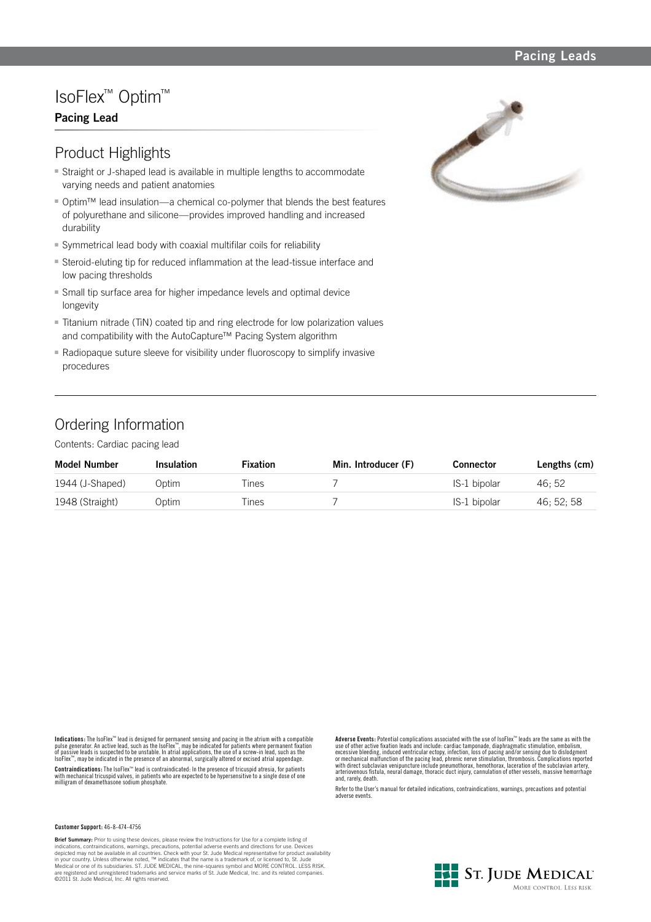### **Pacing Leads**

# IsoFlex™ Optim™

## **Pacing Lead**

## Product Highlights

- **Straight or J-shaped lead is available in multiple lengths to accommodate** varying needs and patient anatomies
- Optim<sup>™</sup> lead insulation—a chemical co-polymer that blends the best features of polyurethane and silicone—provides improved handling and increased durability
- Symmetrical lead body with coaxial multifilar coils for reliability
- Steroid-eluting tip for reduced inflammation at the lead-tissue interface and low pacing thresholds
- **Small tip surface area for higher impedance levels and optimal device** longevity
- Titanium nitrade (TiN) coated tip and ring electrode for low polarization values and compatibility with the AutoCapture™ Pacing System algorithm
- Radiopaque suture sleeve for visibility under fluoroscopy to simplify invasive procedures

## Ordering Information

Contents: Cardiac pacing lead

| <b>Model Number</b> | <b>Insulation</b> | <b>Fixation</b> | Min. Introducer (F) | Connector    | Lengths (cm) |
|---------------------|-------------------|-----------------|---------------------|--------------|--------------|
| 1944 (J-Shaped)     | Optim             | l ines          |                     | IS-1 bipolar | 46: 52       |
| 1948 (Straight)     | Optim             | lines           |                     | IS-1 bipolar | 46: 52: 58   |

**Indications:** The IsoFlex<sup>ne</sup> lead is designed for permanent sensing and pacing in the atrium with a compatible<br>pulse generator. An active lead, such as the IsoFlex<sup>ne</sup>, may be indicated for patients where permanent fixat

**Contraindications:** The IsoFlex™ lead is contraindicated: In the presence of tricuspid atresia, for patients with mechanical tricuspid valves, in patients who are expected to be hypersensitive to a single dose of one milligram of dexamethasone sodium phosphate. **Adverse Events:** Potential complications associated with the use of IsoFlex™ leads are the same as with the use of other active fixation leads and include: cardiac tamponade, diaphragmatic stimulation, embolism,<br>excessive bleeding, induced ventricular ectopy, infection, loss of pacing and/or sensing due to dislodgment<br>or mechani and, rarely, death.

Refer to the User's manual for detailed indications, contraindications, warnings, precautions and potential adverse events.

#### **Customer Support:** 46-8-474-4756

**Brief Summary:** Prior to using these devices, please review the Instructions for Use for a complete listing of indications, contraindications, warnings, precautions, potential adverse events and directions for use. Devices depicted may not be available in all countries. Check with your St. Jude Medical representative for product availability<br>in your country. Unless otherwise noted, ™ indicates that the name is a trademark of, or licensed to,